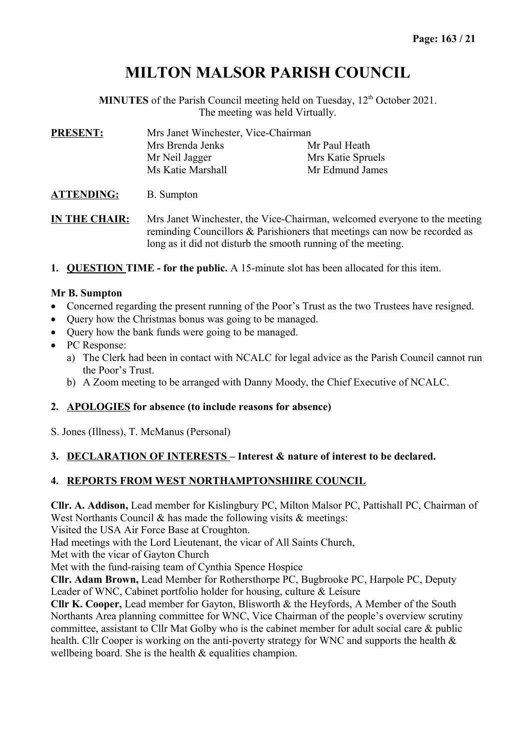# **MILTON MALSOR PARISH COUNCIL**

**MINUTES** of the Parish Council meeting held on Tuesday, 12<sup>th</sup> October 2021. The meeting was held Virtually.

| <b>PRESENT:</b> | Mrs Janet Winchester, Vice-Chairman |                   |  |  |
|-----------------|-------------------------------------|-------------------|--|--|
|                 | Mrs Brenda Jenks                    | Mr Paul Heath     |  |  |
|                 | Mr Neil Jagger                      | Mrs Katie Spruels |  |  |
|                 | Ms Katie Marshall                   | Mr Edmund James   |  |  |
|                 |                                     |                   |  |  |

**ATTENDING:** B. Sumpton

**IN THE CHAIR:** Mrs Janet Winchester, the Vice-Chairman, welcomed everyone to the meeting reminding Councillors & Parishioners that meetings can now be recorded as long as it did not disturb the smooth running of the meeting.

**1. QUESTION TIME - for the public.** A 15-minute slot has been allocated for this item.

### **Mr B. Sumpton**

- Concerned regarding the present running of the Poor's Trust as the two Trustees have resigned.
- Query how the Christmas bonus was going to be managed.
- Ouery how the bank funds were going to be managed.
- PC Response:
	- a) The Clerk had been in contact with NCALC for legal advice as the Parish Council cannot run the Poor's Trust.
	- b) A Zoom meeting to be arranged with Danny Moody, the Chief Executive of NCALC.

### **2. APOLOGIES for absence (to include reasons for absence)**

S. Jones (Illness), T. McManus (Personal)

### **3. DECLARATION OF INTERESTS – Interest & nature of interest to be declared.**

### **4. REPORTS FROM WEST NORTHAMPTONSHIIRE COUNCIL**

**Cllr. A. Addison,** Lead member for Kislingbury PC, Milton Malsor PC, Pattishall PC, Chairman of West Northants Council  $\&$  has made the following visits  $\&$  meetings:

Visited the USA Air Force Base at Croughton.

Had meetings with the Lord Lieutenant, the vicar of All Saints Church,

Met with the vicar of Gayton Church

Met with the fund-raising team of Cynthia Spence Hospice

**Cllr. Adam Brown,** Lead Member for Rothersthorpe PC, Bugbrooke PC, Harpole PC, Deputy Leader of WNC, Cabinet portfolio holder for housing, culture & Leisure

**Cllr K. Cooper,** Lead member for Gayton, Blisworth & the Heyfords, A Member of the South Northants Area planning committee for WNC, Vice Chairman of the people's overview scrutiny committee, assistant to Cllr Mat Golby who is the cabinet member for adult social care & public health. Cllr Cooper is working on the anti-poverty strategy for WNC and supports the health  $\&$ wellbeing board. She is the health & equalities champion.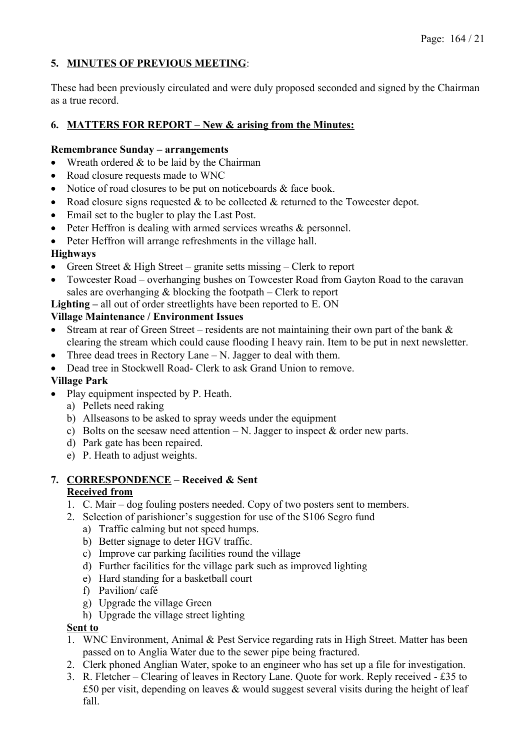# **5. MINUTES OF PREVIOUS MEETING**:

These had been previously circulated and were duly proposed seconded and signed by the Chairman as a true record.

# **6. MATTERS FOR REPORT – New & arising from the Minutes:**

### **Remembrance Sunday – arrangements**

- Wreath ordered  $&$  to be laid by the Chairman
- Road closure requests made to WNC
- Notice of road closures to be put on noticeboards & face book.
- Road closure signs requested  $&$  to be collected  $&$  returned to the Towcester depot.
- Email set to the bugler to play the Last Post.
- Peter Heffron is dealing with armed services wreaths & personnel.
- Peter Heffron will arrange refreshments in the village hall.

# **Highways**

- Green Street & High Street granite setts missing Clerk to report
- Towcester Road overhanging bushes on Towcester Road from Gayton Road to the caravan sales are overhanging  $&$  blocking the footpath – Clerk to report

**Lighting –** all out of order streetlights have been reported to E. ON

### **Village Maintenance / Environment Issues**

- Stream at rear of Green Street residents are not maintaining their own part of the bank  $\&$ clearing the stream which could cause flooding I heavy rain. Item to be put in next newsletter.
- Three dead trees in Rectory Lane  $N$ . Jagger to deal with them.
- Dead tree in Stockwell Road- Clerk to ask Grand Union to remove.

# **Village Park**

- Play equipment inspected by P. Heath.
	- a) Pellets need raking
	- b) Allseasons to be asked to spray weeds under the equipment
	- c) Bolts on the seesaw need attention  $-N$ . Jagger to inspect  $\&$  order new parts.
	- d) Park gate has been repaired.
	- e) P. Heath to adjust weights.

### **7. CORRESPONDENCE – Received & Sent Received from**

- 1. C. Mair dog fouling posters needed. Copy of two posters sent to members.
- 2. Selection of parishioner's suggestion for use of the S106 Segro fund
	- a) Traffic calming but not speed humps.
	- b) Better signage to deter HGV traffic.
	- c) Improve car parking facilities round the village
	- d) Further facilities for the village park such as improved lighting
	- e) Hard standing for a basketball court
	- f) Pavilion/ café
	- g) Upgrade the village Green
	- h) Upgrade the village street lighting

# **Sent to**

- 1. WNC Environment, Animal & Pest Service regarding rats in High Street. Matter has been passed on to Anglia Water due to the sewer pipe being fractured.
- 2. Clerk phoned Anglian Water, spoke to an engineer who has set up a file for investigation.
- 3. R. Fletcher Clearing of leaves in Rectory Lane. Quote for work. Reply received £35 to £50 per visit, depending on leaves & would suggest several visits during the height of leaf fall.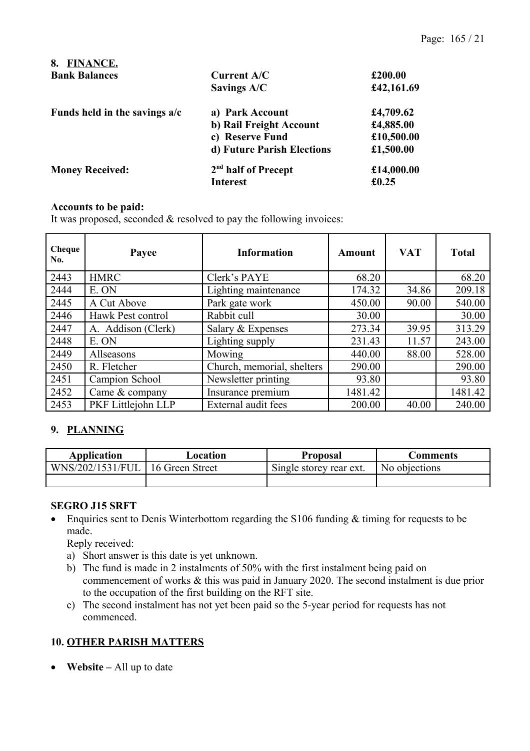| 8.<br><b>FINANCE.</b>         |                                 |            |
|-------------------------------|---------------------------------|------------|
| <b>Bank Balances</b>          | <b>Current A/C</b>              | £200.00    |
|                               | Savings A/C                     | £42,161.69 |
| Funds held in the savings a/c | a) Park Account                 | £4,709.62  |
|                               | b) Rail Freight Account         | £4,885.00  |
|                               | c) Reserve Fund                 | £10,500.00 |
|                               | d) Future Parish Elections      | £1,500.00  |
| <b>Money Received:</b>        | 2 <sup>nd</sup> half of Precept | £14,000.00 |
|                               | <b>Interest</b>                 | £0.25      |

### **Accounts to be paid:**

It was proposed, seconded & resolved to pay the following invoices:

| Cheque<br>No. | Payee              | <b>Information</b>         | Amount  | <b>VAT</b> | <b>Total</b> |
|---------------|--------------------|----------------------------|---------|------------|--------------|
| 2443          | <b>HMRC</b>        | Clerk's PAYE               | 68.20   |            | 68.20        |
| 2444          | E. ON              | Lighting maintenance       | 174.32  | 34.86      | 209.18       |
| 2445          | A Cut Above        | Park gate work             | 450.00  | 90.00      | 540.00       |
| 2446          | Hawk Pest control  | Rabbit cull                | 30.00   |            | 30.00        |
| 2447          | A. Addison (Clerk) | Salary & Expenses          | 273.34  | 39.95      | 313.29       |
| 2448          | E. ON              | Lighting supply            | 231.43  | 11.57      | 243.00       |
| 2449          | Allseasons         | Mowing                     | 440.00  | 88.00      | 528.00       |
| 2450          | R. Fletcher        | Church, memorial, shelters | 290.00  |            | 290.00       |
| 2451          | Campion School     | Newsletter printing        | 93.80   |            | 93.80        |
| 2452          | Came & company     | Insurance premium          | 1481.42 |            | 1481.42      |
| 2453          | PKF Littlejohn LLP | External audit fees        | 200.00  | 40.00      | 240.00       |

### **9. PLANNING**

| <b>Application</b>                   | Location | <b>Proposal</b>         | Comments      |
|--------------------------------------|----------|-------------------------|---------------|
| $WNS/202/1531/FUL$   16 Green Street |          | Single storey rear ext. | No objections |
|                                      |          |                         |               |

### **SEGRO J15 SRFT**

• Enquiries sent to Denis Winterbottom regarding the S106 funding & timing for requests to be made.

Reply received:

- a) Short answer is this date is yet unknown.
- b) The fund is made in 2 instalments of 50% with the first instalment being paid on commencement of works & this was paid in January 2020. The second instalment is due prior to the occupation of the first building on the RFT site.
- c) The second instalment has not yet been paid so the 5-year period for requests has not commenced.

### **10. OTHER PARISH MATTERS**

**Website –** All up to date